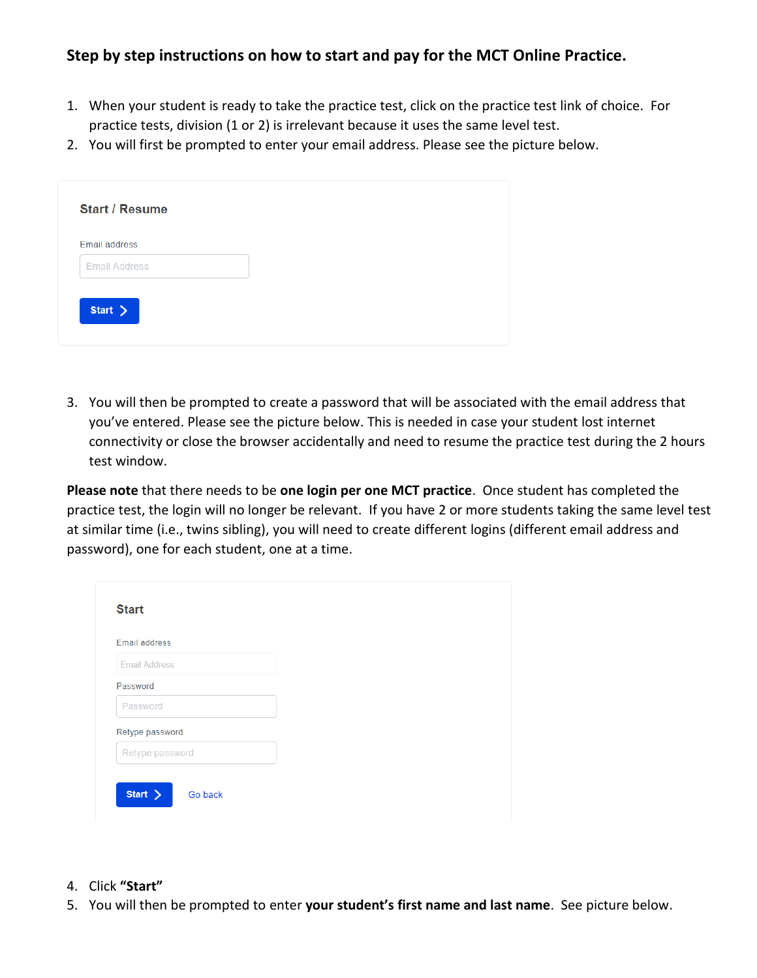## **Step by step instructions on how to start and pay for the MCT Online Practice.**

- 1. When your student is ready to take the practice test, click on the practice test link of choice. For practice tests, division (1 or 2) is irrelevant because it uses the same level test.
- 2. You will first be prompted to enter your email address. Please see the picture below.

3. You will then be prompted to create a password that will be associated with the email address that you've entered. Please see the picture below. This is needed in case your student lost internet connectivity or close the browser accidentally and need to resume the practice test during the 2 hours test window.

**Please note** that there needs to be **one login per one MCT practice**. Once student has completed the practice test, the login will no longer be relevant. If you have 2 or more students taking the same level test at similar time (i.e., twins sibling), you will need to create different logins (different email address and password), one for each student, one at a time.

| Email address        |  |
|----------------------|--|
| <b>Email Address</b> |  |
| Password             |  |
| Password             |  |
| Retype password      |  |
| Retype password      |  |

- 4. Click **"Start"**
- 5. You will then be prompted to enter **your student's first name and last name**. See picture below.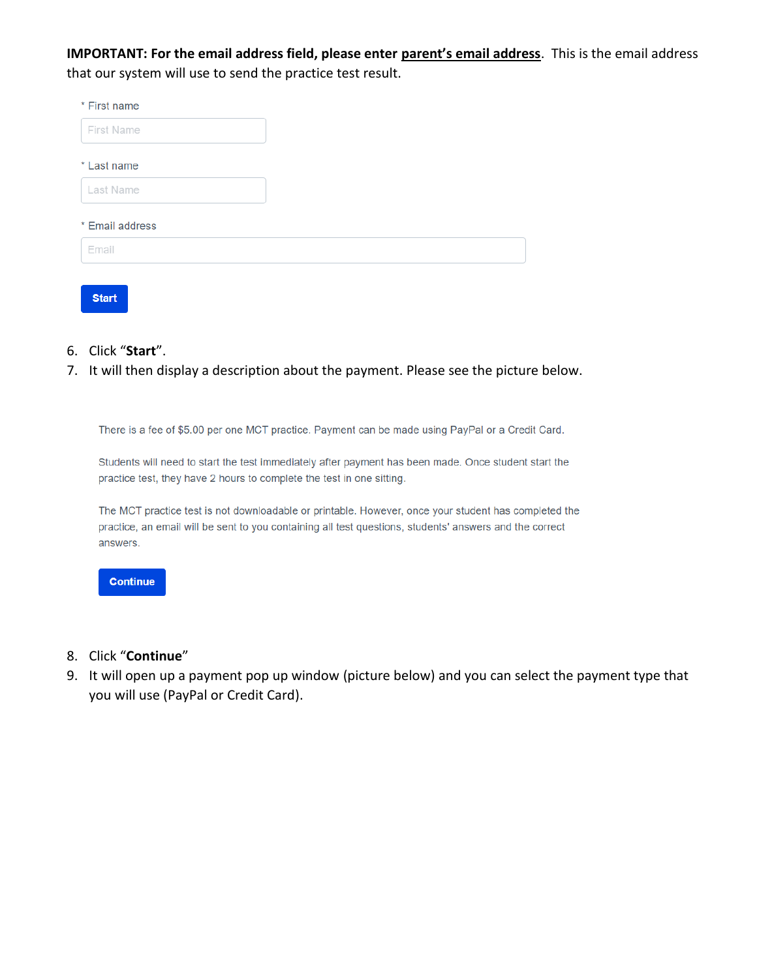**IMPORTANT: For the email address field, please enter parent's email address**. This is the email address that our system will use to send the practice test result.

| * First name    |  |
|-----------------|--|
| First Name      |  |
| * Last name     |  |
| Last Name       |  |
| * Email address |  |
| Email           |  |
|                 |  |

- **Start**
- 6. Click "**Start**".
- 7. It will then display a description about the payment. Please see the picture below.

There is a fee of \$5.00 per one MCT practice. Payment can be made using PayPal or a Credit Card.

Students will need to start the test immediately after payment has been made. Once student start the practice test, they have 2 hours to complete the test in one sitting.

The MCT practice test is not downloadable or printable. However, once your student has completed the practice, an email will be sent to you containing all test questions, students' answers and the correct answers.



- 8. Click "**Continue**"
- 9. It will open up a payment pop up window (picture below) and you can select the payment type that you will use (PayPal or Credit Card).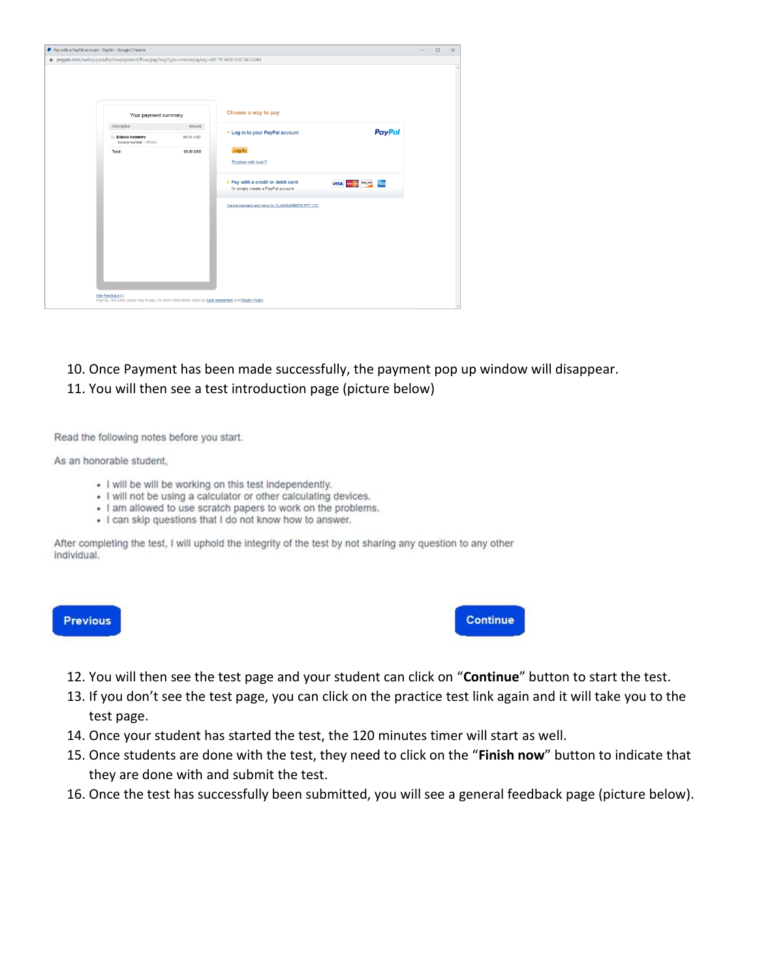| # paypal.com/webapps/adaptivepayment/flow/pay?expType=mini8tpaykey=AP-7F3428183C345224A |            |                                                                                                                                    |                                  |  |
|-----------------------------------------------------------------------------------------|------------|------------------------------------------------------------------------------------------------------------------------------------|----------------------------------|--|
|                                                                                         |            |                                                                                                                                    |                                  |  |
| Your payment summary                                                                    |            | Choose a way to pay                                                                                                                |                                  |  |
| Description                                                                             | Amount     | ▼ Log in to your PayPal account                                                                                                    | <b>PayPal</b>                    |  |
| <b>Ellipsis Academy</b><br>Invoice number: 185384                                       | \$5.00 USD |                                                                                                                                    |                                  |  |
| Total:                                                                                  | \$5.00 USD | Log In                                                                                                                             |                                  |  |
|                                                                                         |            | Problem with login?                                                                                                                |                                  |  |
|                                                                                         |            | ▶ Pay with a credit or debit card<br>Or simply create a PayPal account.                                                            | <b>VISA <i>Manual</i> PREMIX</b> |  |
|                                                                                         |            | Cancel payment and return to CLASSMARKER PTY LTD.                                                                                  |                                  |  |
|                                                                                         |            |                                                                                                                                    |                                  |  |
|                                                                                         |            |                                                                                                                                    |                                  |  |
|                                                                                         |            |                                                                                                                                    |                                  |  |
|                                                                                         |            |                                                                                                                                    |                                  |  |
|                                                                                         |            |                                                                                                                                    |                                  |  |
|                                                                                         |            | Site Feedback H<br>PayPal. The safer, easier way to pay. For more information, read our <u>User Agreement</u> and Privacy. Policy. |                                  |  |

## 10. Once Payment has been made successfully, the payment pop up window will disappear. 11. You will then see a test introduction page (picture below)

Read the following notes before you start.

As an honorable student,

- I will be will be working on this test independently.
- I will not be using a calculator or other calculating devices.
- I am allowed to use scratch papers to work on the problems.
- I can skip questions that I do not know how to answer.

After completing the test, I will uphold the integrity of the test by not sharing any question to any other individual.



**Continue** 

- 12. You will then see the test page and your student can click on "**Continue**" button to start the test.
- 13. If you don't see the test page, you can click on the practice test link again and it will take you to the test page.
- 14. Once your student has started the test, the 120 minutes timer will start as well.
- 15. Once students are done with the test, they need to click on the "**Finish now**" button to indicate that they are done with and submit the test.
- 16. Once the test has successfully been submitted, you will see a general feedback page (picture below).